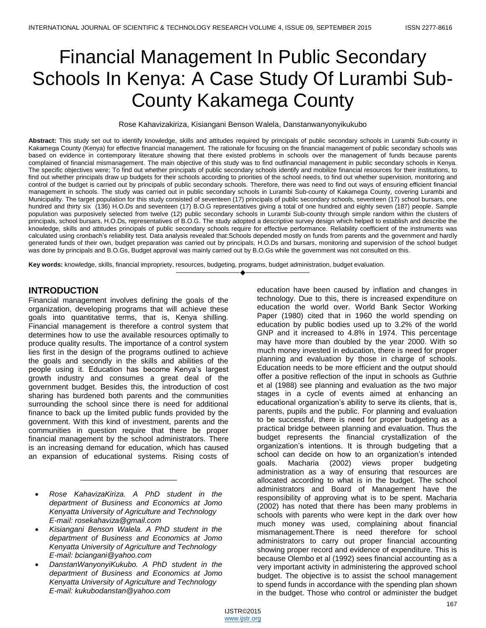# Financial Management In Public Secondary Schools In Kenya: A Case Study Of Lurambi Sub-County Kakamega County

Rose Kahavizakiriza, Kisiangani Benson Walela, Danstanwanyonyikukubo

**Abstract:** This study set out to identify knowledge, skills and attitudes required by principals of public secondary schools in Lurambi Sub-county in Kakamega County (Kenya) for effective financial management. The rationale for focusing on the financial management of public secondary schools was based on evidence in contemporary literature showing that there existed problems in schools over the management of funds because parents complained of financial mismanagement. The main objective of this study was to find outfinancial management in public secondary schools in Kenya. The specific objectives were; To find out whether principals of public secondary schools identify and mobilize financial resources for their institutions, to find out whether principals draw up budgets for their schools according to priorities of the school needs, to find out whether supervision, monitoring and control of the budget is carried out by principals of public secondary schools. Therefore, there was need to find out ways of ensuring efficient financial management in schools. The study was carried out in public secondary schools in Lurambi Sub-county of Kakamega County, covering Lurambi and Municipality. The target population for this study consisted of seventeen (17) principals of public secondary schools, seventeen (17) school bursars, one hundred and thirty six (136) H.O.Ds and seventeen (17) B.O.G representatives giving a total of one hundred and eighty seven (187) people. Sample population was purposively selected from twelve (12) public secondary schools in Lurambi Sub-county through simple random within the clusters of principals, school bursars, H.O.Ds, representatives of B.O.G. The study adopted a descriptive survey design which helped to establish and describe the knowledge, skills and attitudes principals of public secondary schools require for effective performance. Reliability coefficient of the instruments was calculated using cronbach's reliability test. Data analysis revealed that:Schools depended mostly on funds from parents and the government and hardly generated funds of their own, budget preparation was carried out by principals, H.O.Ds and bursars, monitoring and supervision of the school budget was done by principals and B.O.Gs, Budget approval was mainly carried out by B.O.Gs while the government was not consulted on this.

————————————————————

**Key words:** knowledge, skills, financial impropriety, resources, budgeting, programs, budget administration, budget evaluation.

## **INTRODUCTION**

Financial management involves defining the goals of the organization, developing programs that will achieve these goals into quantitative terms, that is, Kenya shilling. Financial management is therefore a control system that determines how to use the available resources optimally to produce quality results. The importance of a control system lies first in the design of the programs outlined to achieve the goals and secondly in the skills and abilities of the people using it. Education has become Kenya's largest growth industry and consumes a great deal of the government budget. Besides this, the introduction of cost sharing has burdened both parents and the communities surrounding the school since there is need for additional finance to back up the limited public funds provided by the government. With this kind of investment, parents and the communities in question require that there be proper financial management by the school administrators. There is an increasing demand for education, which has caused an expansion of educational systems. Rising costs of

 *Rose KahavizaKiriza. A PhD student in the department of Business and Economics at Jomo Kenyatta University of Agriculture and Technology E-mail: rosekahaviza@gmail.com*

\_\_\_\_\_\_\_\_\_\_\_\_\_\_\_\_\_\_\_\_\_\_\_

- *Kisiangani Benson Walela. A PhD student in the department of Business and Economics at Jomo Kenyatta University of Agriculture and Technology E-mail: bciangani@yahoo.com*
- *DanstanWanyonyiKukubo. A PhD student in the department of Business and Economics at Jomo Kenyatta University of Agriculture and Technology E-mail: kukubodanstan@yahoo.com*

education have been caused by inflation and changes in technology. Due to this, there is increased expenditure on education the world over. World Bank Sector Working Paper (1980) cited that in 1960 the world spending on education by public bodies used up to 3.2% of the world GNP and it increased to 4.8% in 1974. This percentage may have more than doubled by the year 2000. With so much money invested in education, there is need for proper planning and evaluation by those in charge of schools. Education needs to be more efficient and the output should offer a positive reflection of the input in schools as Guthrie et al (1988) see planning and evaluation as the two major stages in a cycle of events aimed at enhancing an educational organization's ability to serve its clients, that is, parents, pupils and the public. For planning and evaluation to be successful, there is need for proper budgeting as a practical bridge between planning and evaluation. Thus the budget represents the financial crystallization of the organization's intentions. It is through budgeting that a school can decide on how to an organization's intended goals. Macharia (2002) views proper budgeting administration as a way of ensuring that resources are allocated according to what is in the budget. The school administrators and Board of Management have the responsibility of approving what is to be spent. Macharia (2002) has noted that there has been many problems in schools with parents who were kept in the dark over how much money was used, complaining about financial mismanagement.There is need therefore for school administrators to carry out proper financial accounting showing proper record and evidence of expenditure. This is because Olembo et al (1992) sees financial accounting as a very important activity in administering the approved school budget. The objective is to assist the school management to spend funds in accordance with the spending plan shown in the budget. Those who control or administer the budget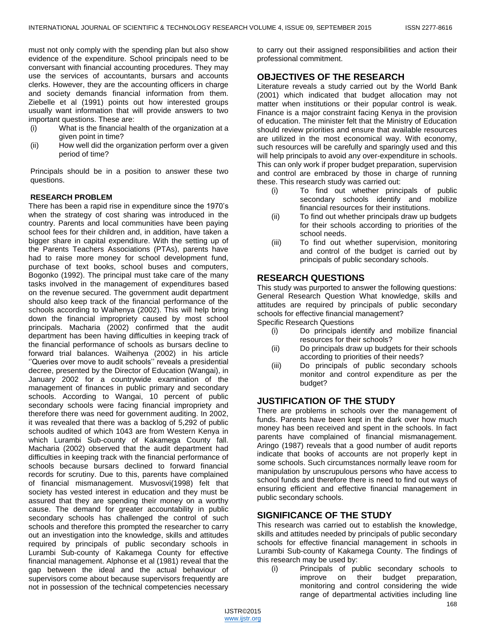must not only comply with the spending plan but also show evidence of the expenditure. School principals need to be conversant with financial accounting procedures. They may use the services of accountants, bursars and accounts clerks. However, they are the accounting officers in charge and society demands financial information from them. Ziebelle et al (1991) points out how interested groups usually want information that will provide answers to two important questions. These are:

- (i) What is the financial health of the organization at a given point in time?
- (ii) How well did the organization perform over a given period of time?

Principals should be in a position to answer these two questions.

## **RESEARCH PROBLEM**

There has been a rapid rise in expenditure since the 1970's when the strategy of cost sharing was introduced in the country. Parents and local communities have been paying school fees for their children and, in addition, have taken a bigger share in capital expenditure. With the setting up of the Parents Teachers Associations (PTAs), parents have had to raise more money for school development fund, purchase of text books, school buses and computers, Bogonko (1992). The principal must take care of the many tasks involved in the management of expenditures based on the revenue secured. The government audit department should also keep track of the financial performance of the schools according to Waihenya (2002). This will help bring down the financial impropriety caused by most school principals. Macharia (2002) confirmed that the audit department has been having difficulties in keeping track of the financial performance of schools as bursars decline to forward trial balances. Waihenya (2002) in his article ''Queries over move to audit schools'' reveals a presidential decree, presented by the Director of Education (Wangai), in January 2002 for a countrywide examination of the management of finances in public primary and secondary schools. According to Wangai, 10 percent of public secondary schools were facing financial impropriety and therefore there was need for government auditing. In 2002, it was revealed that there was a backlog of 5,292 of public schools audited of which 1043 are from Western Kenya in which Lurambi Sub-county of Kakamega County fall. Macharia (2002) observed that the audit department had difficulties in keeping track with the financial performance of schools because bursars declined to forward financial records for scrutiny. Due to this, parents have complained of financial mismanagement. Musvosvi(1998) felt that society has vested interest in education and they must be assured that they are spending their money on a worthy cause. The demand for greater accountability in public secondary schools has challenged the control of such schools and therefore this prompted the researcher to carry out an investigation into the knowledge, skills and attitudes required by principals of public secondary schools in Lurambi Sub-county of Kakamega County for effective financial management. Alphonse et al (1981) reveal that the gap between the ideal and the actual behaviour of supervisors come about because supervisors frequently are not in possession of the technical competencies necessary

to carry out their assigned responsibilities and action their professional commitment.

# **OBJECTIVES OF THE RESEARCH**

Literature reveals a study carried out by the World Bank (2001) which indicated that budget allocation may not matter when institutions or their popular control is weak. Finance is a major constraint facing Kenya in the provision of education. The minister felt that the Ministry of Education should review priorities and ensure that available resources are utilized in the most economical way. With economy, such resources will be carefully and sparingly used and this will help principals to avoid any over-expenditure in schools. This can only work if proper budget preparation, supervision and control are embraced by those in charge of running these. This research study was carried out:

- (i) To find out whether principals of public secondary schools identify and mobilize financial resources for their institutions.
- (ii) To find out whether principals draw up budgets for their schools according to priorities of the school needs.
- (iii) To find out whether supervision, monitoring and control of the budget is carried out by principals of public secondary schools.

# **RESEARCH QUESTIONS**

This study was purported to answer the following questions: General Research Question What knowledge, skills and attitudes are required by principals of public secondary schools for effective financial management?

Specific Research Questions

- (i) Do principals identify and mobilize financial resources for their schools?
- (ii) Do principals draw up budgets for their schools according to priorities of their needs?
- (iii) Do principals of public secondary schools monitor and control expenditure as per the budget?

# **JUSTIFICATION OF THE STUDY**

There are problems in schools over the management of funds. Parents have been kept in the dark over how much money has been received and spent in the schools. In fact parents have complained of financial mismanagement. Aringo (1987) reveals that a good number of audit reports indicate that books of accounts are not properly kept in some schools. Such circumstances normally leave room for manipulation by unscrupulous persons who have access to school funds and therefore there is need to find out ways of ensuring efficient and effective financial management in public secondary schools.

## **SIGNIFICANCE OF THE STUDY**

This research was carried out to establish the knowledge, skills and attitudes needed by principals of public secondary schools for effective financial management in schools in Lurambi Sub-county of Kakamega County. The findings of this research may be used by:

(i) Principals of public secondary schools to improve on their budget preparation, monitoring and control considering the wide range of departmental activities including line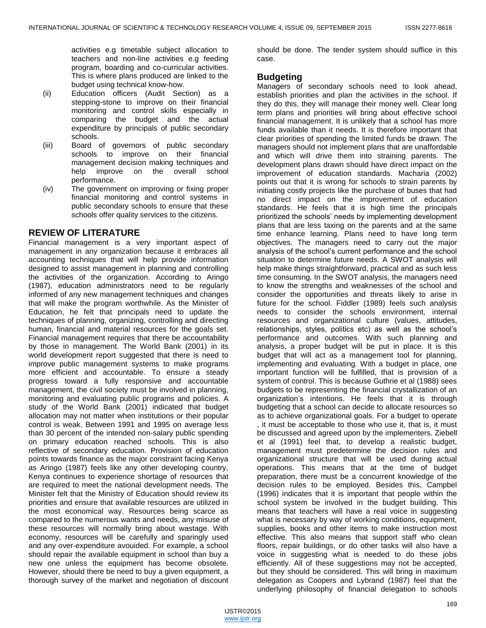activities e.g timetable subject allocation to teachers and non-line activities e.g feeding program, boarding and co-curricular activities. This is where plans produced are linked to the budget using technical know-how.

- (ii) Education officers (Audit Section) as a stepping-stone to improve on their financial monitoring and control skills especially in comparing the budget and the actual expenditure by principals of public secondary schools.
- (iii) Board of governors of public secondary schools to improve on their financial management decision making techniques and help improve on the overall school performance.
- (iv) The government on improving or fixing proper financial monitoring and control systems in public secondary schools to ensure that these schools offer quality services to the citizens.

## **REVIEW OF LITERATURE**

Financial management is a very important aspect of management in any organization because it embraces all accounting techniques that will help provide information designed to assist management in planning and controlling the activities of the organization. According to Aringo (1987), education administrators need to be regularly informed of any new management techniques and changes that will make the program worthwhile. As the Minister of Education, he felt that principals need to update the techniques of planning, organizing, controlling and directing human, financial and material resources for the goals set. Financial management requires that there be accountability by those in management. The World Bank (2001) in its world development report suggested that there is need to improve public management systems to make programs more efficient and accountable. To ensure a steady progress toward a fully responsive and accountable management, the civil society must be involved in planning, monitoring and evaluating public programs and policies. A study of the World Bank (2001) indicated that budget allocation may not matter when institutions or their popular control is weak. Between 1991 and 1995 on average less than 30 percent of the intended non-salary public spending on primary education reached schools. This is also reflective of secondary education. Provision of education points towards finance as the major constraint facing Kenya as Aringo (1987) feels like any other developing country, Kenya continues to experience shortage of resources that are required to meet the national development needs. The Minister felt that the Ministry of Education should review its priorities and ensure that available resources are utilized in the most economical way. Resources being scarce as compared to the numerous wants and needs, any misuse of these resources will normally bring about wastage. With economy, resources will be carefully and sparingly used and any over-expenditure avouided. For example, a school should repair the available equipment in school than buy a new one unless the equipment has become obsolete. However, should there be need to buy a given equipment, a thorough survey of the market and negotiation of discount

should be done. The tender system should suffice in this case.

## **Budgeting**

Managers of secondary schools need to look ahead, establish priorities and plan the activities in the school. If they do this, they will manage their money well. Clear long term plans and priorities will bring about effective school financial management. It is unlikely that a school has more funds available than it needs. It is therefore important that clear priorities of spending the limited funds be drawn. The managers should not implement plans that are unaffordable and which will drive them into straining parents. The development plans drawn should have direct impact on the improvement of education standards. Macharia (2002) points out that it is wrong for schools to strain parents by initiating costly projects like the purchase of buses that had no direct impact on the improvement of education standards. He feels that it is high time the principals prioritized the schools' needs by implementing development plans that are less taxing on the parents and at the same time enhance learning. Plans need to have long term objectives. The managers need to carry out the major analysis of the school's current performance and the school situation to determine future needs. A SWOT analysis will help make things straightforward, practical and as such less time consuming. In the SWOT analysis, the managers need to know the strengths and weaknesses of the school and consider the opportunities and threats likely to arise in future for the school. Fiddler (1989) feels such analysis needs to consider the schools environment, internal resources and organizational culture (values, attitudes, relationships, styles, politics etc) as well as the school's performance and outcomes. With such planning and analysis, a proper budget will be put in place. It is this budget that will act as a management tool for planning, implementing and evaluating. With a budget in place, one important function will be fulfilled, that is provision of a system of control. This is because Guthrie et al (1988) sees budgets to be representing the financial crystallization of an organization's intentions. He feels that it is through budgeting that a school can decide to allocate resources so as to achieve organizational goals. For a budget to operate , it must be acceptable to those who use it, that is, it must be discussed and agreed upon by the implementers. Ziebell et al (1991) feel that, to develop a realistic budget, management must predetermine the decision rules and organizational structure that will be used during actual operations. This means that at the time of budget preparation, there must be a concurrent knowledge of the decision rules to be employed. Besides this, Campbel (1996) indicates that it is important that people within the school system be involved in the budget building. This means that teachers will have a real voice in suggesting what is necessary by way of working conditions, equipment, supplies, books and other items to make instruction most effective. This also means that support staff who clean floors, repair buildings, or do other tasks will also have a voice in suggesting what is needed to do these jobs efficiently. All of these suggestions may not be accepted, but they should be considered. This will bring in maximum delegation as Coopers and Lybrand (1987) feel that the underlying philosophy of financial delegation to schools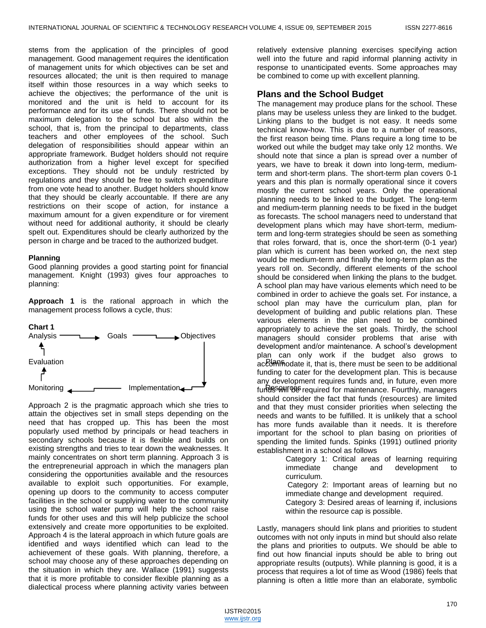stems from the application of the principles of good management. Good management requires the identification of management units for which objectives can be set and resources allocated; the unit is then required to manage itself within those resources in a way which seeks to achieve the objectives; the performance of the unit is monitored and the unit is held to account for its performance and for its use of funds. There should not be maximum delegation to the school but also within the school, that is, from the principal to departments, class teachers and other employees of the school. Such delegation of responsibilities should appear within an appropriate framework. Budget holders should not require authorization from a higher level except for specified exceptions. They should not be unduly restricted by regulations and they should be free to switch expenditure from one vote head to another. Budget holders should know that they should be clearly accountable. If there are any restrictions on their scope of action, for instance a maximum amount for a given expenditure or for virement without need for additional authority, it should be clearly spelt out. Expenditures should be clearly authorized by the person in charge and be traced to the authorized budget.

#### **Planning**

Good planning provides a good starting point for financial management. Knight (1993) gives four approaches to planning:

**Approach 1** is the rational approach in which the management process follows a cycle, thus:



Approach 2 is the pragmatic approach which she tries to attain the objectives set in small steps depending on the need that has cropped up. This has been the most popularly used method by principals or head teachers in secondary schools because it is flexible and builds on existing strengths and tries to tear down the weaknesses. It mainly concentrates on short term planning. Approach 3 is the entrepreneurial approach in which the managers plan considering the opportunities available and the resources available to exploit such opportunities. For example, opening up doors to the community to access computer facilities in the school or supplying water to the community using the school water pump will help the school raise funds for other uses and this will help publicize the school extensively and create more opportunities to be exploited. Approach 4 is the lateral approach in which future goals are identified and ways identified which can lead to the achievement of these goals. With planning, therefore, a school may choose any of these approaches depending on the situation in which they are. Wallace (1991) suggests that it is more profitable to consider flexible planning as a dialectical process where planning activity varies between

relatively extensive planning exercises specifying action well into the future and rapid informal planning activity in response to unanticipated events. Some approaches may be combined to come up with excellent planning.

#### **Plans and the School Budget**

The management may produce plans for the school. These plans may be useless unless they are linked to the budget. Linking plans to the budget is not easy. It needs some technical know-how. This is due to a number of reasons, the first reason being time. Plans require a long time to be worked out while the budget may take only 12 months. We should note that since a plan is spread over a number of years, we have to break it down into long-term, mediumterm and short-term plans. The short-term plan covers 0-1 years and this plan is normally operational since it covers mostly the current school years. Only the operational planning needs to be linked to the budget. The long-term and medium-term planning needs to be fixed in the budget as forecasts. The school managers need to understand that development plans which may have short-term, mediumterm and long-term strategies should be seen as something that roles forward, that is, once the short-term (0-1 year) plan which is current has been worked on, the next step would be medium-term and finally the long-term plan as the years roll on. Secondly, different elements of the school should be considered when linking the plans to the budget. A school plan may have various elements which need to be combined in order to achieve the goals set. For instance, a school plan may have the curriculum plan, plan for development of building and public relations plan. These various elements in the plan need to be combined appropriately to achieve the set goals. Thirdly, the school managers should consider problems that arise with development and/or maintenance. A school's development plan can only work if the budget also grows to accommodate it, that is, there must be seen to be additional funding to cater for the development plan. This is because any development requires funds and, in future, even more funder will be required for maintenance. Fourthly, managers should consider the fact that funds (resources) are limited and that they must consider priorities when selecting the needs and wants to be fulfilled. It is unlikely that a school has more funds available than it needs. It is therefore important for the school to plan basing on priorities of spending the limited funds. Spinks (1991) outlined priority establishment in a school as follows

Category 1: Critical areas of learning requiring<br>immediate change and development to immediate change and development to curriculum.

Category 2: Important areas of learning but no immediate change and development required.

Category 3: Desired areas of learning if, inclusions within the resource cap is possible.

Lastly, managers should link plans and priorities to student outcomes with not only inputs in mind but should also relate the plans and priorities to outputs. We should be able to find out how financial inputs should be able to bring out appropriate results (outputs). While planning is good, it is a process that requires a lot of time as Wood (1986) feels that planning is often a little more than an elaborate, symbolic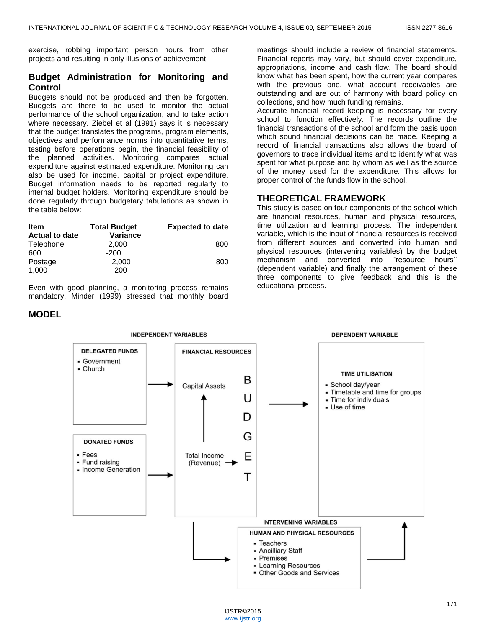exercise, robbing important person hours from other projects and resulting in only illusions of achievement.

# **Budget Administration for Monitoring and Control**

Budgets should not be produced and then be forgotten. Budgets are there to be used to monitor the actual performance of the school organization, and to take action where necessary. Ziebel et al (1991) says it is necessary that the budget translates the programs, program elements, objectives and performance norms into quantitative terms, testing before operations begin, the financial feasibility of the planned activities. Monitoring compares actual expenditure against estimated expenditure. Monitoring can also be used for income, capital or project expenditure. Budget information needs to be reported regularly to internal budget holders. Monitoring expenditure should be done regularly through budgetary tabulations as shown in the table below:

| <b>Item</b>           | <b>Total Budget</b> | <b>Expected to date</b> |
|-----------------------|---------------------|-------------------------|
| <b>Actual to date</b> | <b>Variance</b>     |                         |
| Telephone             | 2.000               | 800                     |
| 600                   | $-200$              |                         |
| Postage               | 2,000               | 800                     |
| 1,000                 | 200                 |                         |

Even with good planning, a monitoring process remains mandatory. Minder (1999) stressed that monthly board

## **MODEL**

meetings should include a review of financial statements. Financial reports may vary, but should cover expenditure, appropriations, income and cash flow. The board should know what has been spent, how the current year compares with the previous one, what account receivables are outstanding and are out of harmony with board policy on collections, and how much funding remains.

Accurate financial record keeping is necessary for every school to function effectively. The records outline the financial transactions of the school and form the basis upon which sound financial decisions can be made. Keeping a record of financial transactions also allows the board of governors to trace individual items and to identify what was spent for what purpose and by whom as well as the source of the money used for the expenditure. This allows for proper control of the funds flow in the school.

## **THEORETICAL FRAMEWORK**

This study is based on four components of the school which are financial resources, human and physical resources, time utilization and learning process. The independent variable, which is the input of financial resources is received from different sources and converted into human and physical resources (intervening variables) by the budget mechanism and converted into ''resource hours'' (dependent variable) and finally the arrangement of these three components to give feedback and this is the educational process.

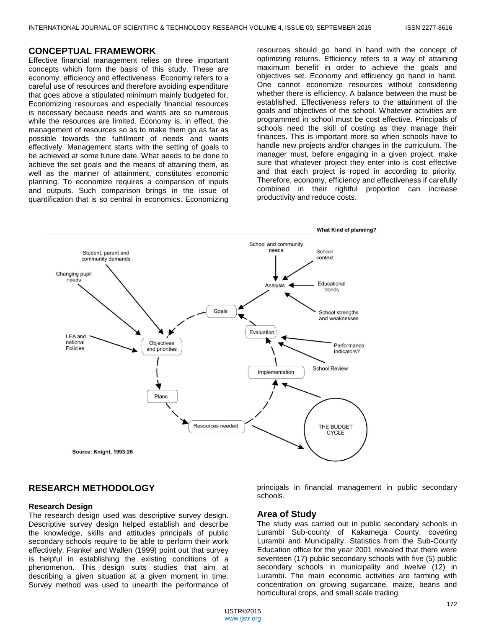#### **CONCEPTUAL FRAMEWORK**

Effective financial management relies on three important concepts which form the basis of this study. These are economy, efficiency and effectiveness. Economy refers to a careful use of resources and therefore avoiding expenditure that goes above a stipulated minimum mainly budgeted for. Economizing resources and especially financial resources is necessary because needs and wants are so numerous while the resources are limited. Economy is, in effect, the management of resources so as to make them go as far as possible towards the fulfillment of needs and wants effectively. Management starts with the setting of goals to be achieved at some future date. What needs to be done to achieve the set goals and the means of attaining them, as well as the manner of attainment, constitutes economic planning. To economize requires a comparison of inputs and outputs. Such comparison brings in the issue of quantification that is so central in economics. Economizing

resources should go hand in hand with the concept of optimizing returns. Efficiency refers to a way of attaining maximum benefit in order to achieve the goals and objectives set. Economy and efficiency go hand in hand. One cannot economize resources without considering whether there is efficiency. A balance between the must be established. Effectiveness refers to the attainment of the goals and objectives of the school. Whatever activities are programmed in school must be cost effective. Principals of schools need the skill of costing as they manage their finances. This is important more so when schools have to handle new projects and/or changes in the curriculum. The manager must, before engaging in a given project, make sure that whatever project they enter into is cost effective and that each project is roped in according to priority. Therefore, economy, efficiency and effectiveness if carefully combined in their rightful proportion can increase productivity and reduce costs.



# **RESEARCH METHODOLOGY**

#### **Research Design**

The research design used was descriptive survey design. Descriptive survey design helped establish and describe the knowledge, skills and attitudes principals of public secondary schools require to be able to perform their work effectively. Frankel and Wallen (1999) point out that survey is helpful in establishing the existing conditions of a phenomenon. This design suits studies that aim at describing a given situation at a given moment in time. Survey method was used to unearth the performance of

principals in financial management in public secondary schools.

#### **Area of Study**

The study was carried out in public secondary schools in Lurambi Sub-county of Kakamega County, covering Lurambi and Municipality. Statistics from the Sub-County Education office for the year 2001 revealed that there were seventeen (17) public secondary schools with five (5) public secondary schools in municipality and twelve (12) in Lurambi. The main economic activities are farming with concentration on growing sugarcane, maize, beans and horticultural crops, and small scale trading.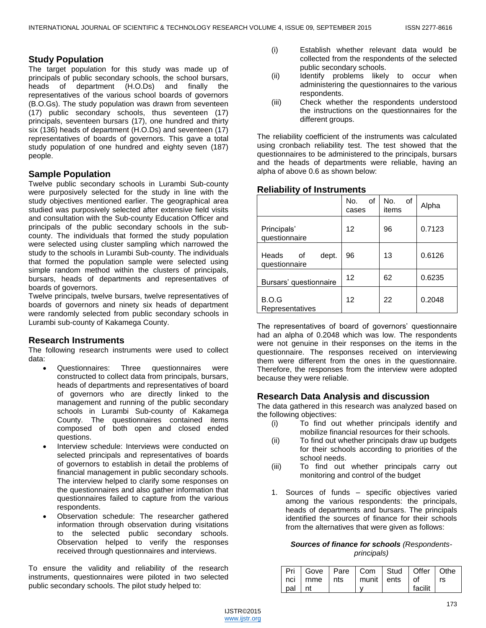# **Study Population**

The target population for this study was made up of principals of public secondary schools, the school bursars, heads of department (H.O.Ds) and finally the representatives of the various school boards of governors (B.O.Gs). The study population was drawn from seventeen (17) public secondary schools, thus seventeen (17) principals, seventeen bursars (17), one hundred and thirty six (136) heads of department (H.O.Ds) and seventeen (17) representatives of boards of governors. This gave a total study population of one hundred and eighty seven (187) people.

# **Sample Population**

Twelve public secondary schools in Lurambi Sub-county were purposively selected for the study in line with the study objectives mentioned earlier. The geographical area studied was purposively selected after extensive field visits and consultation with the Sub-county Education Officer and principals of the public secondary schools in the subcounty. The individuals that formed the study population were selected using cluster sampling which narrowed the study to the schools in Lurambi Sub-county. The individuals that formed the population sample were selected using simple random method within the clusters of principals, bursars, heads of departments and representatives of boards of governors.

Twelve principals, twelve bursars, twelve representatives of boards of governors and ninety six heads of department were randomly selected from public secondary schools in Lurambi sub-county of Kakamega County.

## **Research Instruments**

The following research instruments were used to collect data:

- Questionnaires: Three questionnaires were constructed to collect data from principals, bursars, heads of departments and representatives of board of governors who are directly linked to the management and running of the public secondary schools in Lurambi Sub-county of Kakamega County. The questionnaires contained items composed of both open and closed ended questions.
- Interview schedule: Interviews were conducted on selected principals and representatives of boards of governors to establish in detail the problems of financial management in public secondary schools. The interview helped to clarify some responses on the questionnaires and also gather information that questionnaires failed to capture from the various respondents.
- Observation schedule: The researcher gathered information through observation during visitations to the selected public secondary schools. Observation helped to verify the responses received through questionnaires and interviews.

To ensure the validity and reliability of the research instruments, questionnaires were piloted in two selected public secondary schools. The pilot study helped to:

- (i) Establish whether relevant data would be collected from the respondents of the selected public secondary schools.
- (ii) Identify problems likely to occur when administering the questionnaires to the various respondents.
- (iii) Check whether the respondents understood the instructions on the questionnaires for the different groups.

The reliability coefficient of the instruments was calculated using cronbach reliability test. The test showed that the questionnaires to be administered to the principals, bursars and the heads of departments were reliable, having an alpha of above 0.6 as shown below:

## **Reliability of Instruments**

|                                       | No.<br>of<br>cases | No.<br>οf<br>items | Alpha  |
|---------------------------------------|--------------------|--------------------|--------|
| Principals'<br>questionnaire          | 12                 | 96                 | 0.7123 |
| Heads<br>dept.<br>οf<br>questionnaire | 96                 | 13                 | 0.6126 |
| Bursars' questionnaire                | 12                 | 62                 | 0.6235 |
| B.O.G<br>Representatives              | 12                 | 22                 | 0.2048 |

The representatives of board of governors' questionnaire had an alpha of 0.2048 which was low. The respondents were not genuine in their responses on the items in the questionnaire. The responses received on interviewing them were different from the ones in the questionnaire. Therefore, the responses from the interview were adopted because they were reliable.

## **Research Data Analysis and discussion**

The data gathered in this research was analyzed based on the following objectives:

- (i) To find out whether principals identify and mobilize financial resources for their schools.
- (ii) To find out whether principals draw up budgets for their schools according to priorities of the school needs.
- (iii) To find out whether principals carry out monitoring and control of the budget
- 1. Sources of funds specific objectives varied among the various respondents: the principals, heads of departments and bursars. The principals identified the sources of finance for their schools from the alternatives that were given as follows:

## *Sources of finance for schools (Respondentsprincipals)*

|           | Pri   Gove   Pare   Com   Stud   Offer   Othe |  |           |  |
|-----------|-----------------------------------------------|--|-----------|--|
|           | nci   rnme   nts   munit   ents   of   rs     |  |           |  |
| l pal Int |                                               |  | l facilit |  |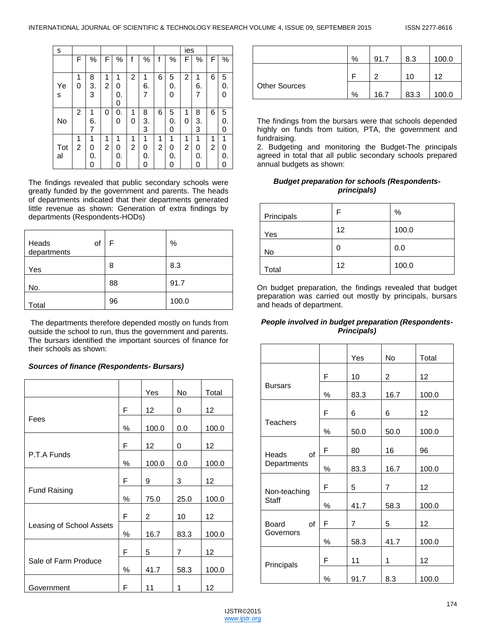| s         |        |                   |        |                   |        |                   |        |                   | ies    |                   |        |              |
|-----------|--------|-------------------|--------|-------------------|--------|-------------------|--------|-------------------|--------|-------------------|--------|--------------|
|           | F      | %                 | F      | %                 | f      | %                 | f      | $\%$              | F      | %                 | F      | %            |
| Ye<br>S   | 1<br>0 | 8<br>3.<br>3      | 1<br>2 | 1<br>0<br>0.<br>0 | 2      | 1<br>6.<br>7      | 6      | 5<br>0.<br>O      | 2      | 1<br>6.<br>7      | 6      | 5<br>0.<br>O |
| No        | 2      | 1<br>6.<br>7      | 0      | 0.<br>ი           | 1<br>O | 8<br>3.<br>3      | 6      | 5<br>0.<br>0      | 1<br>0 | 8<br>3.<br>3      | 6      | 5<br>0.<br>O |
| Tot<br>al | 1<br>2 | 1<br>0<br>0.<br>0 | 1<br>2 | 1<br>0<br>0.<br>O | 1<br>2 | 1<br>0<br>0.<br>0 | 1<br>2 | 1<br>0<br>0.<br>0 | 1<br>2 | 1<br>0<br>0.<br>0 | 1<br>2 | 1<br>0.      |

The findings revealed that public secondary schools were greatly funded by the government and parents. The heads of departments indicated that their departments generated little revenue as shown: Generation of extra findings by departments (Respondents-HODs)

| of<br>Heads<br>departments | F  | $\%$  |
|----------------------------|----|-------|
| Yes                        | 8  | 8.3   |
| No.                        | 88 | 91.7  |
| Total                      | 96 | 100.0 |

The departments therefore depended mostly on funds from outside the school to run, thus the government and parents. The bursars identified the important sources of finance for their schools as shown:

## *Sources of finance (Respondents- Bursars)*

|                          |   | Yes   | No   | Total |
|--------------------------|---|-------|------|-------|
|                          | F | 12    | 0    | 12    |
| Fees                     | % | 100.0 | 0.0  | 100.0 |
|                          | F | 12    | 0    | 12    |
| P.T.A Funds              | % | 100.0 | 0.0  | 100.0 |
|                          | F | 9     | 3    | 12    |
| <b>Fund Raising</b>      | ℅ | 75.0  | 25.0 | 100.0 |
|                          | F | 2     | 10   | 12    |
| Leasing of School Assets | ℅ | 16.7  | 83.3 | 100.0 |
|                          | F | 5     | 7    | 12    |
| Sale of Farm Produce     | % | 41.7  | 58.3 | 100.0 |
| Government               | F | 11    | 1    | 12    |

|                      | % | 91.7 | 8.3  | 100.0 |
|----------------------|---|------|------|-------|
|                      |   | ◠    | 10   | 12    |
| <b>Other Sources</b> | % | 16.7 | 83.3 | 100.0 |

The findings from the bursars were that schools depended highly on funds from tuition, PTA, the government and fundraising.

2. Budgeting and monitoring the Budget-The principals agreed in total that all public secondary schools prepared annual budgets as shown:

#### *Budget preparation for schools (Respondentsprincipals)*

| Principals | F  | %     |
|------------|----|-------|
| Yes        | 12 | 100.0 |
| No         | 0  | 0.0   |
| Total      | 12 | 100.0 |

On budget preparation, the findings revealed that budget preparation was carried out mostly by principals, bursars and heads of department.

## *People involved in budget preparation (Respondents-Principals)*

|                              |      | Yes                                                                           | No             | Total |
|------------------------------|------|-------------------------------------------------------------------------------|----------------|-------|
|                              | F    | 10                                                                            | 2              | 12    |
| <b>Bursars</b>               | ℅    | 83.3                                                                          | 16.7           | 100.0 |
|                              | F    | 6                                                                             | 6              | 12    |
| <b>Teachers</b>              | $\%$ | 50.0                                                                          | 50.0           | 100.0 |
| Heads<br>of                  | F    | 80                                                                            | 16             | 96    |
| Departments                  | ℅    | 83.3                                                                          | 16.7           | 100.0 |
|                              | F    | 5                                                                             | $\overline{7}$ | 12    |
| Non-teaching<br><b>Staff</b> | $\%$ | 41.7<br>58.3<br>$\overline{7}$<br>5<br>41.7<br>58.3<br>11<br>1<br>91.7<br>8.3 |                | 100.0 |
| Board<br>of                  | F    |                                                                               |                | 12    |
| Governors                    | ℅    |                                                                               |                | 100.0 |
|                              | F    |                                                                               |                | 12    |
| Principals                   | $\%$ |                                                                               |                | 100.0 |

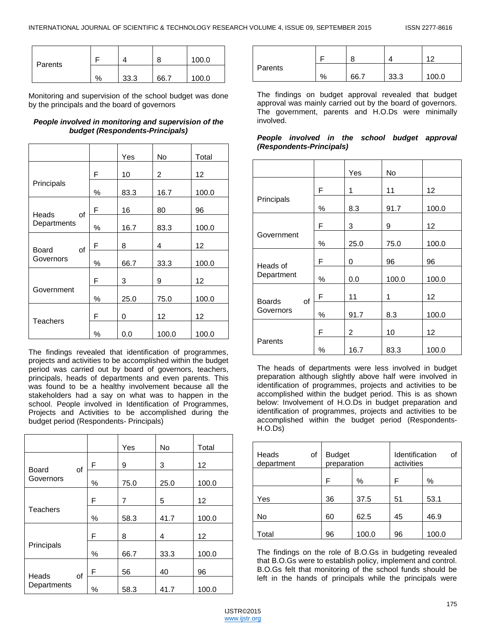| Parents |   |      | 8    | 100.0 |
|---------|---|------|------|-------|
|         | % | 33.3 | 66.7 | 100.0 |

Monitoring and supervision of the school budget was done by the principals and the board of governors

## *People involved in monitoring and supervision of the budget (Respondents-Principals)*

|                            |   | Yes  | No    | Total             |
|----------------------------|---|------|-------|-------------------|
|                            | F | 10   | 2     | $12 \overline{ }$ |
| Principals                 | ℅ | 83.3 | 16.7  | 100.0             |
|                            | F | 16   | 80    | 96                |
| Heads<br>οf<br>Departments | ℅ | 16.7 | 83.3  | 100.0             |
|                            | F | 8    | 4     | 12                |
| Board<br>οf<br>Governors   | ℅ | 66.7 | 33.3  | 100.0             |
|                            | F | 3    | 9     | 12                |
| Government                 | % | 25.0 | 75.0  | 100.0             |
|                            | F | 0    | 12    | $12 \overline{ }$ |
| <b>Teachers</b>            | ℅ | 0.0  | 100.0 | 100.0             |

The findings revealed that identification of programmes, projects and activities to be accomplished within the budget period was carried out by board of governors, teachers, principals, heads of departments and even parents. This was found to be a healthy involvement because all the stakeholders had a say on what was to happen in the school. People involved in Identification of Programmes, Projects and Activities to be accomplished during the budget period (Respondents- Principals)

|                            |      | Yes  | No   | Total |
|----------------------------|------|------|------|-------|
| <b>Board</b><br>οf         | F    | 9    | 3    | 12    |
| Governors                  | %    | 75.0 | 25.0 | 100.0 |
|                            | F    | 7    | 5    | 12    |
| <b>Teachers</b>            | ℅    | 58.3 | 41.7 | 100.0 |
|                            | F    | 8    | 4    | 12    |
| Principals                 | $\%$ | 66.7 | 33.3 | 100.0 |
|                            | F    | 56   | 40   | 96    |
| Heads<br>οf<br>Departments | %    | 58.3 | 41.7 | 100.0 |

|         |   |      |      | $1^{\circ}$ |
|---------|---|------|------|-------------|
| Parents | % | 66.7 | 33.3 | 100.0       |

The findings on budget approval revealed that budget approval was mainly carried out by the board of governors. The government, parents and H.O.Ds were minimally involved.

| People involved in the school budget approval |  |  |  |
|-----------------------------------------------|--|--|--|
| (Respondents-Principals)                      |  |  |  |

|                                  |      | Yes  | No    |       |
|----------------------------------|------|------|-------|-------|
|                                  | F    | 1    | 11    | 12    |
| Principals                       | ℅    | 8.3  | 91.7  | 100.0 |
|                                  | F    | 3    | 9     | 12    |
| Government                       | $\%$ | 25.0 | 75.0  | 100.0 |
|                                  | F    | 0    | 96    | 96    |
| Heads of<br>Department           | ℅    | 0.0  | 100.0 | 100.0 |
|                                  | F    | 11   | 1     | 12    |
| <b>Boards</b><br>οf<br>Governors | ℅    | 91.7 | 8.3   | 100.0 |
|                                  | F    | 2    | 10    | 12    |
| Parents                          | %    | 16.7 | 83.3  | 100.0 |

The heads of departments were less involved in budget preparation although slightly above half were involved in identification of programmes, projects and activities to be accomplished within the budget period. This is as shown below: Involvement of H.O.Ds in budget preparation and identification of programmes, projects and activities to be accomplished within the budget period (Respondents-H.O.Ds)

| οf<br>Heads<br>department | <b>Budget</b><br>preparation |       | οf<br>Identification<br>activities |       |  |
|---------------------------|------------------------------|-------|------------------------------------|-------|--|
|                           | F                            | $\%$  | F                                  | $\%$  |  |
| Yes                       | 36                           | 37.5  | 51                                 | 53.1  |  |
| No                        | 60                           | 62.5  | 45                                 | 46.9  |  |
| Total                     | 96                           | 100.0 | 96                                 | 100.0 |  |

The findings on the role of B.O.Gs in budgeting revealed that B.O.Gs were to establish policy, implement and control. B.O.Gs felt that monitoring of the school funds should be left in the hands of principals while the principals were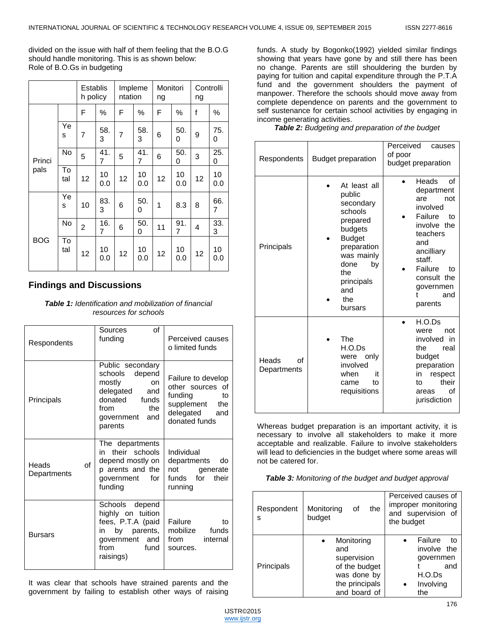divided on the issue with half of them feeling that the B.O.G should handle monitoring. This is as shown below: Role of B.O.Gs in budgeting

|            |           |                | Establis<br>h policy | Impleme<br>ntation |           | Monitori<br>ng |           | Controlli<br>ng |           |
|------------|-----------|----------------|----------------------|--------------------|-----------|----------------|-----------|-----------------|-----------|
|            |           | F              | %                    | F                  | %         | F              | %         | f               | ℅         |
|            | Ye<br>S   | 7              | 58.<br>3             | $\overline{7}$     | 58.<br>3  | 6              | 50.<br>0  | 9               | 75.<br>0  |
| Princi     | No        | 5              | 41.<br>7             | 5                  | 41.<br>7  | 6              | 50.<br>0  | 3               | 25.<br>0  |
| pals       | To<br>tal | 12             | 10<br>0.0            | 12                 | 10<br>0.0 | 12             | 10<br>0.0 | 12              | 10<br>0.0 |
|            | Ye<br>S   | 10             | 83.<br>3             | 6                  | 50.<br>0  | 1              | 8.3       | 8               | 66.<br>7  |
|            | No        | $\overline{2}$ | 16.<br>7             | 6                  | 50.<br>0  | 11             | 91.<br>7  | 4               | 33.<br>3  |
| <b>BOG</b> | To<br>tal | 12             | 10<br>0.0            | 12                 | 10<br>0.0 | 12             | 10<br>0.0 | 12              | 10<br>0.0 |

# **Findings and Discussions**

*Table 1: Identification and mobilization of financial resources for schools*

| Respondents                | οf<br>Sources<br>funding                                                                                                                             | Perceived causes<br>o limited funds                                                                         |
|----------------------------|------------------------------------------------------------------------------------------------------------------------------------------------------|-------------------------------------------------------------------------------------------------------------|
| Principals                 | Public secondary<br>depend<br>schools<br>mostly<br><b>on</b><br>delegated<br>and<br>donated<br>funds<br>from<br>the.<br>government<br>and<br>parents | Failure to develop<br>other sources of<br>funding<br>to<br>supplement the<br>delegated and<br>donated funds |
| Heads<br>Ωf<br>Departments | The departments<br>in their schools<br>depend mostly on<br>p arents and the<br>government<br>for<br>funding                                          | Individual<br>departments<br>do<br>not<br>generate<br>funds for<br>their<br>running                         |
| <b>Bursars</b>             | Schools<br>depend<br>highly on tuition<br>fees, P.T.A (paid<br>in by parents,<br>government and<br>from<br>fund<br>raisings)                         | Failure<br>to<br>mobilize funds<br>from<br>internal<br>sources.                                             |

It was clear that schools have strained parents and the government by failing to establish other ways of raising

funds. A study by Bogonko(1992) yielded similar findings showing that years have gone by and still there has been no change. Parents are still shouldering the burden by paying for tuition and capital expenditure through the P.T.A fund and the government shoulders the payment of manpower. Therefore the schools should move away from complete dependence on parents and the government to self sustenance for certain school activities by engaging in income generating activities.

*Table 2: Budgeting and preparation of the budget*

| Respondents                | <b>Budget preparation</b>                                                                                                                                                       | Perceived<br>causes<br>of poor<br>budget preparation                                                                                                                                               |
|----------------------------|---------------------------------------------------------------------------------------------------------------------------------------------------------------------------------|----------------------------------------------------------------------------------------------------------------------------------------------------------------------------------------------------|
| Principals                 | At least all<br>public<br>secondary<br>schools<br>prepared<br>budgets<br><b>Budget</b><br>preparation<br>was mainly<br>done<br>by<br>the<br>principals<br>and<br>the<br>bursars | Heads<br>of<br>department<br>are<br>not<br>involved<br>Failure<br>tο<br>involve the<br>teachers<br>and<br>ancilliary<br>staff.<br>Failure<br>tο<br>consult the<br>governmen<br>and<br>t<br>parents |
| Heads<br>Ωf<br>Departments | <b>The</b><br>H.O.Ds<br>only<br>were<br>involved<br>it<br>when<br>to<br>came<br>requisitions                                                                                    | H.O.Ds<br>were<br>not<br>involved in<br>the.<br>real<br>budget<br>preparation<br>respect<br>in<br>their<br>t٥<br>Ωf<br>areas<br>jurisdiction                                                       |

Whereas budget preparation is an important activity, it is necessary to involve all stakeholders to make it more acceptable and realizable. Failure to involve stakeholders will lead to deficiencies in the budget where some areas will not be catered for.

*Table 3: Monitoring of the budget and budget approval*

| Respondent<br>s   | Monitoring<br>the<br>of<br>budget                                                                  | Perceived causes of<br>improper monitoring<br>and supervision of<br>the budget |
|-------------------|----------------------------------------------------------------------------------------------------|--------------------------------------------------------------------------------|
| <b>Principals</b> | Monitoring<br>and<br>supervision<br>of the budget<br>was done by<br>the principals<br>and board of | Failure<br>tο<br>involve the<br>governmen<br>and<br>H.O.Ds<br>Involving<br>the |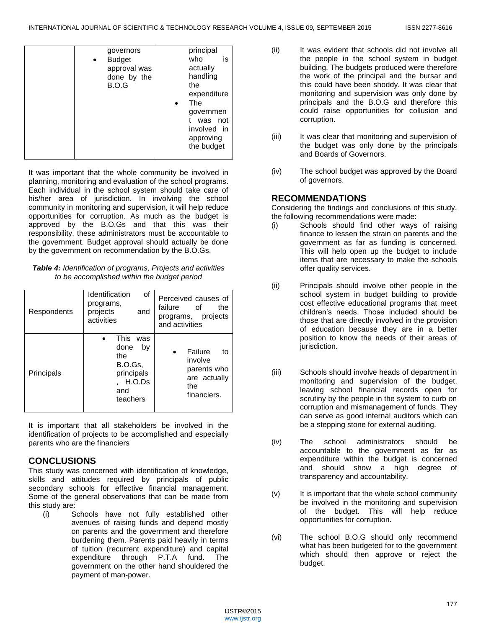| principal<br>governors<br>is<br>who<br><b>Budget</b><br>$\bullet$<br>approval was<br>actually<br>handling<br>done by the<br>the<br>B.O.G<br>expenditure<br>The<br>governmen<br>was not<br>involved in<br>approving<br>the budget |
|----------------------------------------------------------------------------------------------------------------------------------------------------------------------------------------------------------------------------------|
|                                                                                                                                                                                                                                  |

It was important that the whole community be involved in planning, monitoring and evaluation of the school programs. Each individual in the school system should take care of his/her area of jurisdiction. In involving the school community in monitoring and supervision, it will help reduce opportunities for corruption. As much as the budget is approved by the B.O.Gs and that this was their responsibility, these administrators must be accountable to the government. Budget approval should actually be done by the government on recommendation by the B.O.Gs.

| <b>Table 4:</b> Identification of programs, Projects and activities |
|---------------------------------------------------------------------|
| to be accomplished within the budget period                         |

| Respondents | Identification<br>οf<br>programs,<br>projects<br>and<br>activities                      | Perceived causes of<br>failure<br>of<br>the<br>projects<br>programs,<br>and activities     |
|-------------|-----------------------------------------------------------------------------------------|--------------------------------------------------------------------------------------------|
| Principals  | This.<br>was<br>done<br>bv<br>the<br>B.O.Gs.<br>principals<br>H.O.Ds<br>and<br>teachers | Failure<br>$\bullet$<br>to<br>involve<br>parents who<br>are actually<br>the<br>financiers. |

It is important that all stakeholders be involved in the identification of projects to be accomplished and especially parents who are the financiers

# **CONCLUSIONS**

This study was concerned with identification of knowledge, skills and attitudes required by principals of public secondary schools for effective financial management. Some of the general observations that can be made from this study are:

(i) Schools have not fully established other avenues of raising funds and depend mostly on parents and the government and therefore burdening them. Parents paid heavily in terms of tuition (recurrent expenditure) and capital expenditure through P.T.A fund. The government on the other hand shouldered the payment of man-power.

- (ii) It was evident that schools did not involve all the people in the school system in budget building. The budgets produced were therefore the work of the principal and the bursar and this could have been shoddy. It was clear that monitoring and supervision was only done by principals and the B.O.G and therefore this could raise opportunities for collusion and corruption.
- (iii) It was clear that monitoring and supervision of the budget was only done by the principals and Boards of Governors.
- (iv) The school budget was approved by the Board of governors.

# **RECOMMENDATIONS**

Considering the findings and conclusions of this study, the following recommendations were made:

- (i) Schools should find other ways of raising finance to lessen the strain on parents and the government as far as funding is concerned. This will help open up the budget to include items that are necessary to make the schools offer quality services.
- (ii) Principals should involve other people in the school system in budget building to provide cost effective educational programs that meet children's needs. Those included should be those that are directly involved in the provision of education because they are in a better position to know the needs of their areas of jurisdiction.
- (iii) Schools should involve heads of department in monitoring and supervision of the budget, leaving school financial records open for scrutiny by the people in the system to curb on corruption and mismanagement of funds. They can serve as good internal auditors which can be a stepping stone for external auditing.
- (iv) The school administrators should be accountable to the government as far as expenditure within the budget is concerned and should show a high degree of transparency and accountability.
- (v) It is important that the whole school community be involved in the monitoring and supervision of the budget. This will help reduce opportunities for corruption.
- (vi) The school B.O.G should only recommend what has been budgeted for to the government which should then approve or reject the budget.